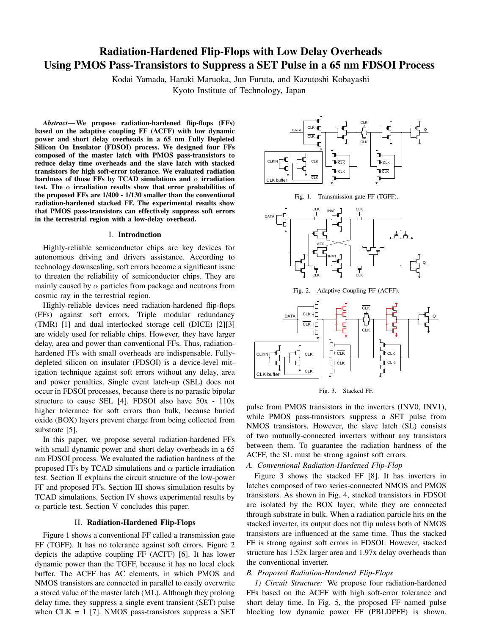# Radiation-Hardened Flip-Flops with Low Delay Overheads Using PMOS Pass-Transistors to Suppress a SET Pulse in a 65 nm FDSOI Process

Kodai Yamada, Haruki Maruoka, Jun Furuta, and Kazutoshi Kobayashi Kyoto Institute of Technology, Japan

*Abstract*—We propose radiation-hardened flip-flops (FFs) based on the adaptive coupling FF (ACFF) with low dynamic power and short delay overheads in a 65 nm Fully Depleted Silicon On Insulator (FDSOI) process. We designed four FFs composed of the master latch with PMOS pass-transistors to reduce delay time overheads and the slave latch with stacked transistors for high soft-error tolerance. We evaluated radiation hardness of those FFs by TCAD simulations and *α* irradiation test. The *α* irradiation results show that error probabilities of the proposed FFs are 1/400 - 1/130 smaller than the conventional radiation-hardened stacked FF. The experimental results show that PMOS pass-transistors can effectively suppress soft errors in the terrestrial region with a low-delay overhead.

## I. Introduction

Highly-reliable semiconductor chips are key devices for autonomous driving and drivers assistance. According to technology downscaling, soft errors become a significant issue to threaten the reliability of semiconductor chips. They are mainly caused by  $\alpha$  particles from package and neutrons from cosmic ray in the terrestrial region.

Highly-reliable devices need radiation-hardened flip-flops (FFs) against soft errors. Triple modular redundancy (TMR) [1] and dual interlocked storage cell (DICE) [2][3] are widely used for reliable chips. However, they have larger delay, area and power than conventional FFs. Thus, radiationhardened FFs with small overheads are indispensable. Fullydepleted silicon on insulator (FDSOI) is a device-level mitigation technique against soft errors without any delay, area and power penalties. Single event latch-up (SEL) does not occur in FDSOI processes, because there is no parastic bipolar structure to cause SEL [4]. FDSOI also have 50x - 110x higher tolerance for soft errors than bulk, because buried oxide (BOX) layers prevent charge from being collected from substrate [5].

In this paper, we propose several radiation-hardened FFs with small dynamic power and short delay overheads in a 65 nm FDSOI process. We evaluated the radiation hardness of the proposed FFs by TCAD simulations and  $\alpha$  particle irradiation test. Section II explains the circuit structure of the low-power FF and proposed FFs. Section III shows simulation results by TCAD simulations. Section IV shows experimental results by  $\alpha$  particle test. Section V concludes this paper.

#### II. Radiation-Hardened Flip-Flops

Figure 1 shows a conventional FF called a transmission gate FF (TGFF). It has no tolerance against soft errors. Figure 2 depicts the adaptive coupling FF (ACFF) [6]. It has lower dynamic power than the TGFF, because it has no local clock buffer. The ACFF has AC elements, in which PMOS and NMOS transistors are connected in parallel to easily overwrite a stored value of the master latch (ML). Although they prolong delay time, they suppress a single event transient (SET) pulse when  $CLK = 1$  [7]. NMOS pass-transistors suppress a SET



Fig. 1. Transmission-gate FF (TGFF).



Fig. 2. Adaptive Coupling FF (ACFF).



Fig. 3. Stacked FF.

pulse from PMOS transistors in the inverters (INV0, INV1), while PMOS pass-transistors suppress a SET pulse from NMOS transistors. However, the slave latch (SL) consists of two mutually-connected inverters without any transistors between them. To guarantee the radiation hardness of the ACFF, the SL must be strong against soft errors.

## *A. Conventional Radiation-Hardened Flip-Flop*

Figure 3 shows the stacked FF [8]. It has inverters in latches composed of two series-connected NMOS and PMOS transistors. As shown in Fig. 4, stacked transistors in FDSOI are isolated by the BOX layer, while they are connected through substrate in bulk. When a radiation particle hits on the stacked inverter, its output does not flip unless both of NMOS transistors are influenced at the same time. Thus the stacked FF is strong against soft errors in FDSOI. However, stacked structure has 1.52x larger area and 1.97x delay overheads than the conventional inverter.

# *B. Proposed Radiation-Hardened Flip-Flops*

*1) Circuit Structure:* We propose four radiation-hardened FFs based on the ACFF with high soft-error tolerance and short delay time. In Fig. 5, the proposed FF named pulse blocking low dynamic power FF (PBLDPFF) is shown.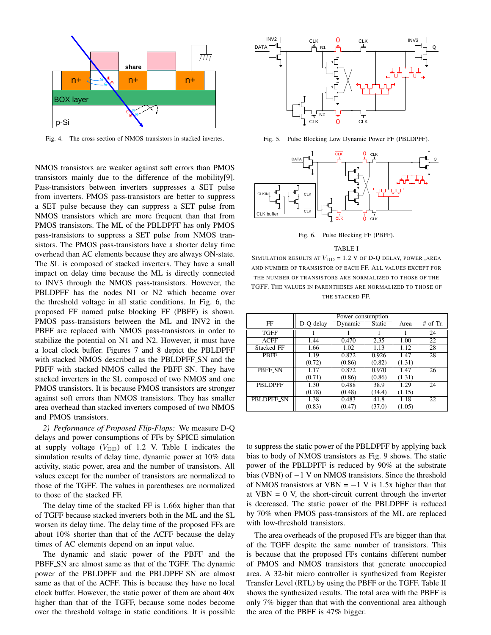

Fig. 4. The cross section of NMOS transistors in stacked invertes.

NMOS transistors are weaker against soft errors than PMOS transistors mainly due to the difference of the mobility[9]. Pass-transistors between inverters suppresses a SET pulse from inverters. PMOS pass-transistors are better to suppress a SET pulse because they can suppress a SET pulse from NMOS transistors which are more frequent than that from PMOS transistors. The ML of the PBLDPFF has only PMOS pass-transistors to suppress a SET pulse from NMOS transistors. The PMOS pass-transistors have a shorter delay time overhead than AC elements because they are always ON-state. The SL is composed of stacked inverters. They have a small impact on delay time because the ML is directly connected to INV3 through the NMOS pass-transistors. However, the PBLDPFF has the nodes N1 or N2 which become over the threshold voltage in all static conditions. In Fig. 6, the proposed FF named pulse blocking FF (PBFF) is shown. PMOS pass-transistors between the ML and INV2 in the PBFF are replaced with NMOS pass-transistors in order to stabilize the potential on N1 and N2. However, it must have a local clock buffer. Figures 7 and 8 depict the PBLDPFF with stacked NMOS described as the PBLDPFF SN and the PBFF with stacked NMOS called the PBFF<sub>-SN</sub>. They have stacked inverters in the SL composed of two NMOS and one PMOS transistors. It is because PMOS transistors are stronger against soft errors than NMOS transistors. They has smaller area overhead than stacked inverters composed of two NMOS and PMOS transistors.

*2) Performance of Proposed Flip-Flops:* We measure D-Q delays and power consumptions of FFs by SPICE simulation at supply voltage  $(V_{\text{DD}})$  of 1.2 V. Table I indicates the simulation results of delay time, dynamic power at 10% data activity, static power, area and the number of transistors. All values except for the number of transistors are normalized to those of the TGFF. The values in parentheses are normalized to those of the stacked FF.

The delay time of the stacked FF is 1.66x higher than that of TGFF because stacked inverters both in the ML and the SL worsen its delay time. The delay time of the proposed FFs are about 10% shorter than that of the ACFF because the delay times of AC elements depend on an input value.

The dynamic and static power of the PBFF and the PBFF<sub>-SN</sub> are almost same as that of the TGFF. The dynamic power of the PBLDPFF and the PBLDPFF SN are almost same as that of the ACFF. This is because they have no local clock buffer. However, the static power of them are about 40x higher than that of the TGFF, because some nodes become over the threshold voltage in static conditions. It is possible



Fig. 5. Pulse Blocking Low Dynamic Power FF (PBLDPFF).



Fig. 6. Pulse Blocking FF (PBFF).

#### TABLE I

SIMULATION RESULTS AT  $V_{\text{DD}} = 1.2$  V of D-Q delay, power, area AND NUMBER OF TRANSISTOR OF EACH FF. ALL VALUES EXCEPT FOR THE NUMBER OF TRANSISTORS ARE NORMALIZED TO THOSE OF THE TGFF. THE VALUES IN PARENTHESES ARE NORMALIZED TO THOSE OF THE STACKED FF.

|                |           | Power consumption |        |        |            |
|----------------|-----------|-------------------|--------|--------|------------|
| FF             | D-Q delay | Dynamic           | Static | Area   | $#$ of Tr. |
| <b>TGFF</b>    |           |                   |        |        | 24         |
| <b>ACFF</b>    | 1.44      | 0.470             | 2.35   | 1.00   | 22         |
| Stacked FF     | 1.66      | 1.02              | 1.13   | 1.12   | 28         |
| <b>PBFF</b>    | 1.19      | 0.872             | 0.926  | 1.47   | 28         |
|                | (0.72)    | (0.86)            | (0.82) | (1.31) |            |
| PBFF SN        | 1.17      | 0.872             | 0.970  | 1.47   | 26         |
|                | (0.71)    | (0.86)            | (0.86) | (1.31) |            |
| <b>PBLDPFF</b> | 1.30      | 0.488             | 38.9   | 1.29   | 24         |
|                | (0.78)    | (0.48)            | (34.4) | (1.15) |            |
| PBLDPFF SN     | 1.38      | 0.483             | 41.8   | 1.18   | 22         |
|                | (0.83)    | (0.47)            | (37.0) | (1.05) |            |

to suppress the static power of the PBLDPFF by applying back bias to body of NMOS transistors as Fig. 9 shows. The static power of the PBLDPFF is reduced by 90% at the substrate bias (VBN) of *−*1 V on NMOS transistors. Since the threshold of NMOS transistors at VBN = *−*1 V is 1.5x higher than that at  $VBN = 0$  V, the short-circuit current through the inverter is decreased. The static power of the PBLDPFF is reduced by 70% when PMOS pass-transistors of the ML are replaced with low-threshold transistors.

The area overheads of the proposed FFs are bigger than that of the TGFF despite the same number of transistors. This is because that the proposed FFs contains different number of PMOS and NMOS transistors that generate unoccupied area. A 32-bit micro controller is synthesized from Register Transfer Level (RTL) by using the PBFF or the TGFF. Table II shows the synthesized results. The total area with the PBFF is only 7% bigger than that with the conventional area although the area of the PBFF is 47% bigger.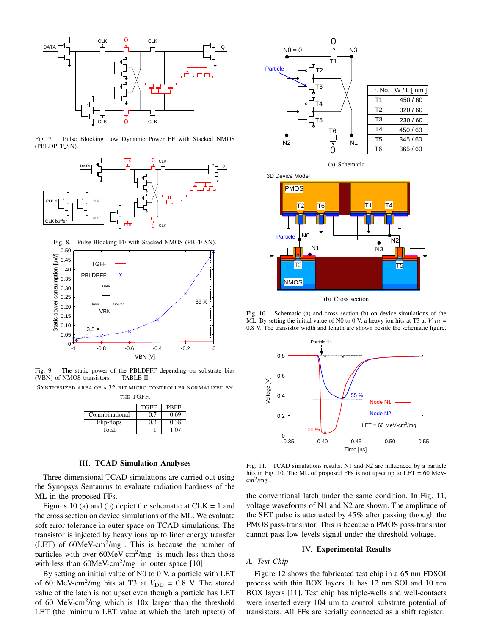

Fig. 7. Pulse Blocking Low Dynamic Power FF with Stacked NMOS (PBLDPFF SN).





Fig. 9. The static power of the PBLDPFF depending on substrate bias (VBN) of NMOS transistors. TABLE II

SYNTHESIZED AREA OF A 32-BIT MICRO CONTROLLER NORMALIZED BY

| THE ' | TGFF |
|-------|------|
|-------|------|

|                | <b>TGFF</b> | PBFF |
|----------------|-------------|------|
| Conmbinational |             | 0.69 |
| Flip-flops     | ገ 3         | 0.38 |
| Total          |             |      |

# III. TCAD Simulation Analyses

Three-dimensional TCAD simulations are carried out using the Synopsys Sentaurus to evaluate radiation hardness of the ML in the proposed FFs.

Figures 10 (a) and (b) depict the schematic at  $CLK = 1$  and the cross section on device simulations of the ML. We evaluate soft error tolerance in outer space on TCAD simulations. The transistor is injected by heavy ions up to liner energy transfer (LET) of  $60$ MeV-cm<sup>2</sup>/mg. This is because the number of particles with over  $60$ MeV-cm<sup>2</sup>/mg is much less than those with less than  $60$ MeV-cm<sup>2</sup>/mg in outer space [10].

By setting an initial value of N0 to 0 V, a particle with LET of 60 MeV-cm<sup>2</sup>/mg hits at T3 at  $V_{\text{DD}} = 0.8$  V. The stored value of the latch is not upset even though a particle has LET of 60 MeV-cm<sup>2</sup>/mg which is  $10x$  larger than the threshold LET (the minimum LET value at which the latch upsets) of



(a) Schematic



(b) Cross section

Fig. 10. Schematic (a) and cross section (b) on device simulations of the ML. By setting the initial value of N0 to 0 V, a heavy ion hits at T3 at  $V_{\text{DD}} =$ 0.8 V. The transistor width and length are shown beside the schematic figure.



Fig. 11. TCAD simulations results. N1 and N2 are influenced by a particle hits in Fig. 10. The ML of proposed FFs is not upset up to LET = 60 MeV- $\text{cm}^2/\text{mg}$ .

the conventional latch under the same condition. In Fig. 11, voltage waveforms of N1 and N2 are shown. The amplitude of the SET pulse is attenuated by 45% after passing through the PMOS pass-transistor. This is because a PMOS pass-transistor cannot pass low levels signal under the threshold voltage.

## IV. Experimental Results

# *A. Test Chip*

Figure 12 shows the fabricated test chip in a 65 nm FDSOI process with thin BOX layers. It has 12 nm SOI and 10 nm BOX layers [11]. Test chip has triple-wells and well-contacts were inserted every 104 um to control substrate potential of transistors. All FFs are serially connected as a shift register.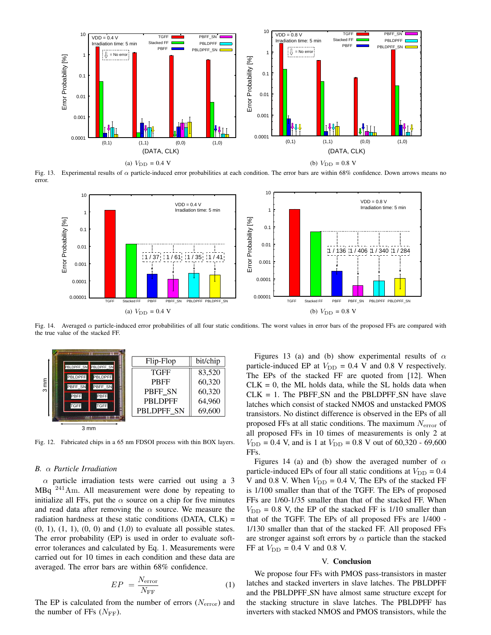

Fig. 13. Experimental results of *α* particle-induced error probabilities at each condition. The error bars are within 68% confidence. Down arrows means no error.



Fig. 14. Averaged *α* particle-induced error probabilities of all four static conditions. The worst values in error bars of the proposed FFs are compared with the true value of the stacked FF.



Fig. 12. Fabricated chips in a 65 nm FDSOI process with thin BOX layers.

## *B. α Particle Irradiation*

*α* particle irradiation tests were carried out using a 3 MBq <sup>241</sup>Am. All measurement were done by repeating to initialize all FFs, put the  $\alpha$  source on a chip for five minutes and read data after removing the  $\alpha$  source. We measure the radiation hardness at these static conditions (DATA, CLK) =  $(0, 1), (1, 1), (0, 0)$  and  $(1,0)$  to evaluate all possible states. The error probability (EP) is used in order to evaluate softerror tolerances and calculated by Eq. 1. Measurements were carried out for 10 times in each condition and these data are averaged. The error bars are within 68% confidence.

$$
EP = \frac{N_{\text{error}}}{N_{\text{FF}}} \tag{1}
$$

The EP is calculated from the number of errors (*N*error) and the number of FFs  $(N_{\text{FF}})$ .

Figures 13 (a) and (b) show experimental results of *α* particle-induced EP at  $V_{\text{DD}} = 0.4$  V and 0.8 V respectively. The EPs of the stacked FF are quoted from [12]. When  $CLK = 0$ , the ML holds data, while the SL holds data when  $CLK = 1$ . The PBFF SN and the PBLDPFF SN have slave latches which consist of stacked NMOS and unstacked PMOS transistors. No distinct difference is observed in the EPs of all proposed FFs at all static conditions. The maximum *N*error of all proposed FFs in 10 times of measurements is only 2 at  $V_{\text{DD}} = 0.4$  V, and is 1 at  $V_{\text{DD}} = 0.8$  V out of 60,320 - 69,600 FFs.

Figures 14 (a) and (b) show the averaged number of *α* particle-induced EPs of four all static conditions at  $V_{\text{DD}} = 0.4$ V and 0.8 V. When  $V_{\text{DD}} = 0.4$  V, The EPs of the stacked FF is 1/100 smaller than that of the TGFF. The EPs of proposed FFs are 1/60-1/35 smaller than that of the stacked FF. When  $V_{\text{DD}}$  = 0.8 V, the EP of the stacked FF is 1/10 smaller than that of the TGFF. The EPs of all proposed FFs are 1/400 - 1/130 smaller than that of the stacked FF. All proposed FFs are stronger against soft errors by  $\alpha$  particle than the stacked FF at  $V_{\text{DD}} = 0.4$  V and 0.8 V.

## V. Conclusion

We propose four FFs with PMOS pass-transistors in master latches and stacked inverters in slave latches. The PBLDPFF and the PBLDPFF SN have almost same structure except for the stacking structure in slave latches. The PBLDPFF has inverters with stacked NMOS and PMOS transistors, while the